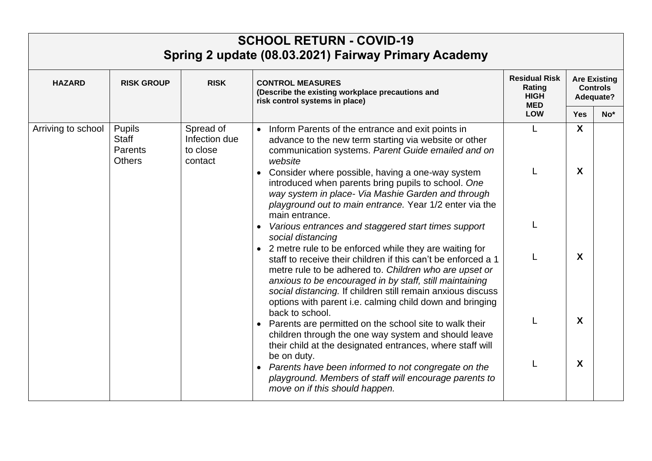|                    |                                             |                                                   | <b>SCHOOL RETURN - COVID-19</b><br>Spring 2 update (08.03.2021) Fairway Primary Academy                                                                                                                                                                                                                                                                                                        |                                                                           |                                                     |       |
|--------------------|---------------------------------------------|---------------------------------------------------|------------------------------------------------------------------------------------------------------------------------------------------------------------------------------------------------------------------------------------------------------------------------------------------------------------------------------------------------------------------------------------------------|---------------------------------------------------------------------------|-----------------------------------------------------|-------|
| <b>HAZARD</b>      | <b>RISK GROUP</b>                           | <b>RISK</b>                                       | <b>CONTROL MEASURES</b><br>(Describe the existing workplace precautions and<br>risk control systems in place)                                                                                                                                                                                                                                                                                  | <b>Residual Risk</b><br>Rating<br><b>HIGH</b><br><b>MED</b><br><b>LOW</b> | <b>Are Existing</b><br><b>Controls</b><br>Adequate? |       |
|                    |                                             |                                                   |                                                                                                                                                                                                                                                                                                                                                                                                |                                                                           | <b>Yes</b>                                          | $No*$ |
| Arriving to school | Pupils<br>Staff<br>Parents<br><b>Others</b> | Spread of<br>Infection due<br>to close<br>contact | • Inform Parents of the entrance and exit points in<br>advance to the new term starting via website or other<br>communication systems. Parent Guide emailed and on<br>website<br>• Consider where possible, having a one-way system                                                                                                                                                            | L                                                                         | $\boldsymbol{X}$<br>X                               |       |
|                    |                                             |                                                   | introduced when parents bring pupils to school. One<br>way system in place- Via Mashie Garden and through<br>playground out to main entrance. Year 1/2 enter via the<br>main entrance.<br>Various entrances and staggered start times support                                                                                                                                                  |                                                                           |                                                     |       |
|                    |                                             |                                                   | social distancing<br>• 2 metre rule to be enforced while they are waiting for<br>staff to receive their children if this can't be enforced a 1<br>metre rule to be adhered to. Children who are upset or<br>anxious to be encouraged in by staff, still maintaining<br>social distancing. If children still remain anxious discuss<br>options with parent i.e. calming child down and bringing |                                                                           | X                                                   |       |
|                    |                                             |                                                   | back to school.<br>Parents are permitted on the school site to walk their<br>children through the one way system and should leave<br>their child at the designated entrances, where staff will                                                                                                                                                                                                 |                                                                           | X                                                   |       |
|                    |                                             |                                                   | be on duty.<br>Parents have been informed to not congregate on the<br>playground. Members of staff will encourage parents to<br>move on if this should happen.                                                                                                                                                                                                                                 |                                                                           | X                                                   |       |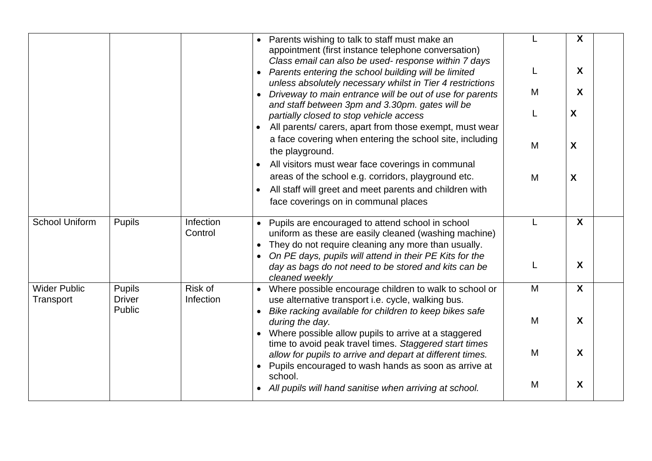|                                  |                                |                      | Parents wishing to talk to staff must make an<br>appointment (first instance telephone conversation)<br>Class email can also be used- response within 7 days                                                                |   | X                |
|----------------------------------|--------------------------------|----------------------|-----------------------------------------------------------------------------------------------------------------------------------------------------------------------------------------------------------------------------|---|------------------|
|                                  |                                |                      | • Parents entering the school building will be limited<br>unless absolutely necessary whilst in Tier 4 restrictions                                                                                                         |   | $\mathsf{X}$     |
|                                  |                                |                      | Driveway to main entrance will be out of use for parents<br>and staff between 3pm and 3.30pm. gates will be                                                                                                                 | M | $\boldsymbol{X}$ |
|                                  |                                |                      | partially closed to stop vehicle access<br>All parents/ carers, apart from those exempt, must wear                                                                                                                          | L | X                |
|                                  |                                |                      | a face covering when entering the school site, including<br>the playground.                                                                                                                                                 | M | X                |
|                                  |                                |                      | All visitors must wear face coverings in communal<br>areas of the school e.g. corridors, playground etc.<br>All staff will greet and meet parents and children with<br>face coverings on in communal places                 | M | X                |
| <b>School Uniform</b>            | <b>Pupils</b>                  | Infection<br>Control | Pupils are encouraged to attend school in school<br>uniform as these are easily cleaned (washing machine)<br>They do not require cleaning any more than usually.<br>On PE days, pupils will attend in their PE Kits for the | L | $\mathbf{x}$     |
|                                  |                                |                      | day as bags do not need to be stored and kits can be<br>cleaned weekly                                                                                                                                                      | L | $\boldsymbol{X}$ |
| <b>Wider Public</b><br>Transport | <b>Pupils</b><br><b>Driver</b> | Risk of<br>Infection | • Where possible encourage children to walk to school or<br>use alternative transport i.e. cycle, walking bus.                                                                                                              | M | $\mathsf{X}$     |
|                                  | Public                         |                      | Bike racking available for children to keep bikes safe<br>during the day.<br>• Where possible allow pupils to arrive at a staggered                                                                                         | M | $\boldsymbol{X}$ |
|                                  |                                |                      | time to avoid peak travel times. Staggered start times<br>allow for pupils to arrive and depart at different times.<br>Pupils encouraged to wash hands as soon as arrive at                                                 | M | $\boldsymbol{X}$ |
|                                  |                                |                      | school.<br>• All pupils will hand sanitise when arriving at school.                                                                                                                                                         | M | X                |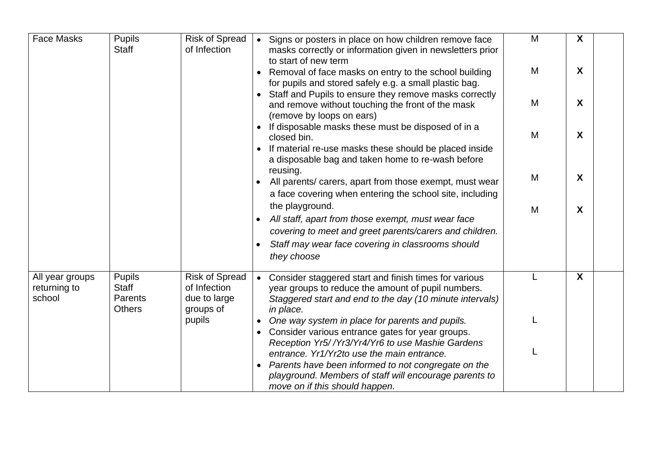| <b>Face Masks</b>                         | Pupils<br><b>Staff</b>                                    | <b>Risk of Spread</b><br>of Infection                              |           | • Signs or posters in place on how children remove face<br>masks correctly or information given in newsletters prior<br>to start of new term                                           | M | X |  |
|-------------------------------------------|-----------------------------------------------------------|--------------------------------------------------------------------|-----------|----------------------------------------------------------------------------------------------------------------------------------------------------------------------------------------|---|---|--|
|                                           |                                                           |                                                                    |           | Removal of face masks on entry to the school building<br>for pupils and stored safely e.g. a small plastic bag.                                                                        | M | X |  |
|                                           |                                                           |                                                                    |           | Staff and Pupils to ensure they remove masks correctly<br>and remove without touching the front of the mask<br>(remove by loops on ears)                                               | M | X |  |
|                                           |                                                           |                                                                    |           | If disposable masks these must be disposed of in a<br>closed bin.                                                                                                                      | M | X |  |
|                                           |                                                           |                                                                    |           | If material re-use masks these should be placed inside<br>a disposable bag and taken home to re-wash before<br>reusing.                                                                |   |   |  |
|                                           |                                                           |                                                                    |           | All parents/ carers, apart from those exempt, must wear<br>a face covering when entering the school site, including                                                                    | M | X |  |
|                                           |                                                           |                                                                    |           | the playground.<br>All staff, apart from those exempt, must wear face<br>covering to meet and greet parents/carers and children.<br>Staff may wear face covering in classrooms should  | M | X |  |
|                                           |                                                           |                                                                    |           | they choose                                                                                                                                                                            |   |   |  |
| All year groups<br>returning to<br>school | <b>Pupils</b><br><b>Staff</b><br>Parents<br><b>Others</b> | <b>Risk of Spread</b><br>of Infection<br>due to large<br>groups of |           | • Consider staggered start and finish times for various<br>year groups to reduce the amount of pupil numbers.<br>Staggered start and end to the day (10 minute intervals)<br>in place. |   | X |  |
|                                           |                                                           | pupils                                                             |           | One way system in place for parents and pupils.<br>Consider various entrance gates for year groups.                                                                                    |   |   |  |
|                                           |                                                           |                                                                    |           | Reception Yr5//Yr3/Yr4/Yr6 to use Mashie Gardens<br>entrance. Yr1/Yr2to use the main entrance.                                                                                         |   |   |  |
|                                           |                                                           |                                                                    | $\bullet$ | Parents have been informed to not congregate on the<br>playground. Members of staff will encourage parents to<br>move on if this should happen.                                        |   |   |  |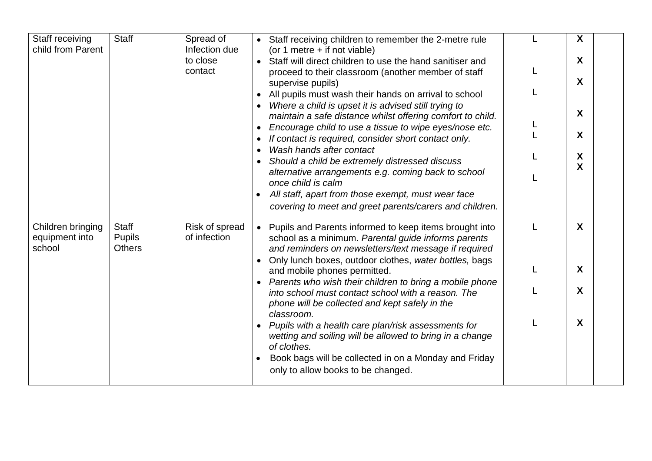| Staff receiving<br>child from Parent          | <b>Staff</b>                                   | Spread of<br>Infection due     | • Staff receiving children to remember the 2-metre rule                                                                                                                                                                                            | X      |
|-----------------------------------------------|------------------------------------------------|--------------------------------|----------------------------------------------------------------------------------------------------------------------------------------------------------------------------------------------------------------------------------------------------|--------|
|                                               |                                                | to close<br>contact            | (or 1 metre + if not viable)<br>• Staff will direct children to use the hand sanitiser and<br>proceed to their classroom (another member of staff<br>supervise pupils)                                                                             | X<br>X |
|                                               |                                                |                                | All pupils must wash their hands on arrival to school<br>Where a child is upset it is advised still trying to<br>maintain a safe distance whilst offering comfort to child.<br>Encourage child to use a tissue to wipe eyes/nose etc.<br>$\bullet$ | X      |
|                                               |                                                |                                | If contact is required, consider short contact only.<br>Wash hands after contact<br>Should a child be extremely distressed discuss                                                                                                                 | X<br>X |
|                                               |                                                |                                | alternative arrangements e.g. coming back to school<br>once child is calm<br>All staff, apart from those exempt, must wear face                                                                                                                    | X      |
|                                               |                                                |                                | covering to meet and greet parents/carers and children.                                                                                                                                                                                            |        |
| Children bringing<br>equipment into<br>school | <b>Staff</b><br><b>Pupils</b><br><b>Others</b> | Risk of spread<br>of infection | • Pupils and Parents informed to keep items brought into<br>school as a minimum. Parental guide informs parents<br>and reminders on newsletters/text message if required<br>Only lunch boxes, outdoor clothes, water bottles, bags                 | X      |
|                                               |                                                |                                | and mobile phones permitted.<br>Parents who wish their children to bring a mobile phone                                                                                                                                                            | X      |
|                                               |                                                |                                | into school must contact school with a reason. The<br>phone will be collected and kept safely in the<br>classroom.                                                                                                                                 | X      |
|                                               |                                                |                                | Pupils with a health care plan/risk assessments for<br>wetting and soiling will be allowed to bring in a change<br>of clothes.                                                                                                                     | X      |
|                                               |                                                |                                | Book bags will be collected in on a Monday and Friday<br>only to allow books to be changed.                                                                                                                                                        |        |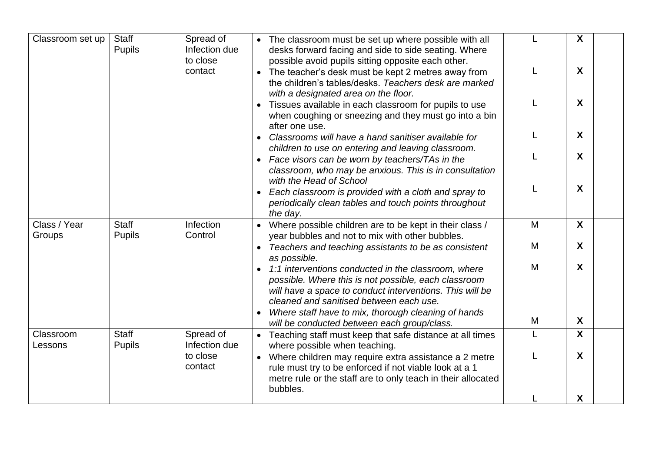| Classroom set up       | <b>Staff</b><br><b>Pupils</b> | Spread of<br>Infection due<br>to close | • The classroom must be set up where possible with all<br>desks forward facing and side to side seating. Where<br>possible avoid pupils sitting opposite each other.                                                                                                                   |   | X                         |
|------------------------|-------------------------------|----------------------------------------|----------------------------------------------------------------------------------------------------------------------------------------------------------------------------------------------------------------------------------------------------------------------------------------|---|---------------------------|
|                        |                               | contact                                | • The teacher's desk must be kept 2 metres away from<br>the children's tables/desks. Teachers desk are marked<br>with a designated area on the floor.                                                                                                                                  |   | X                         |
|                        |                               |                                        | Tissues available in each classroom for pupils to use<br>when coughing or sneezing and they must go into a bin                                                                                                                                                                         |   | X                         |
|                        |                               |                                        | after one use.<br>Classrooms will have a hand sanitiser available for<br>children to use on entering and leaving classroom.                                                                                                                                                            |   | X                         |
|                        |                               |                                        | Face visors can be worn by teachers/TAs in the<br>classroom, who may be anxious. This is in consultation<br>with the Head of School                                                                                                                                                    |   | X                         |
|                        |                               |                                        | Each classroom is provided with a cloth and spray to<br>periodically clean tables and touch points throughout<br>the day.                                                                                                                                                              |   | X                         |
| Class / Year<br>Groups | <b>Staff</b><br><b>Pupils</b> | Infection<br>Control                   | Where possible children are to be kept in their class /<br>year bubbles and not to mix with other bubbles.                                                                                                                                                                             | M | $\boldsymbol{\mathsf{X}}$ |
|                        |                               |                                        | Teachers and teaching assistants to be as consistent<br>as possible.                                                                                                                                                                                                                   | M | X                         |
|                        |                               |                                        | 1:1 interventions conducted in the classroom, where<br>possible. Where this is not possible, each classroom<br>will have a space to conduct interventions. This will be<br>cleaned and sanitised between each use.<br>Where staff have to mix, thorough cleaning of hands<br>$\bullet$ | M | X                         |
|                        |                               |                                        | will be conducted between each group/class.                                                                                                                                                                                                                                            | M | X                         |
| Classroom<br>Lessons   | <b>Staff</b><br><b>Pupils</b> | Spread of<br>Infection due             | • Teaching staff must keep that safe distance at all times<br>where possible when teaching.                                                                                                                                                                                            | L | $\boldsymbol{\mathsf{X}}$ |
|                        |                               | to close<br>contact                    | • Where children may require extra assistance a 2 metre<br>rule must try to be enforced if not viable look at a 1<br>metre rule or the staff are to only teach in their allocated<br>bubbles.                                                                                          |   | X                         |
|                        |                               |                                        |                                                                                                                                                                                                                                                                                        |   | X                         |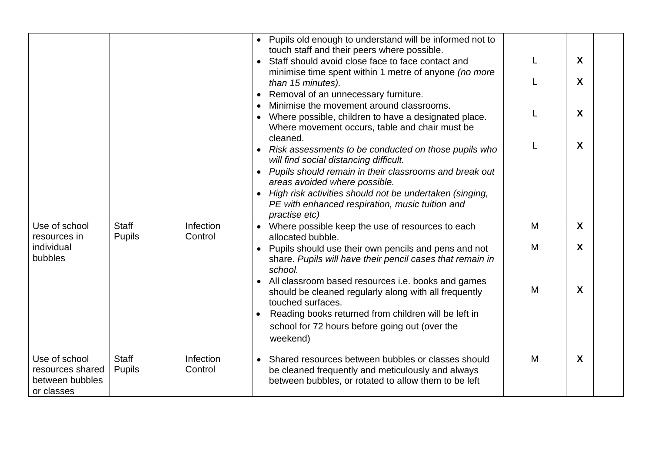|                               |                               |                      | • Pupils old enough to understand will be informed not to<br>touch staff and their peers where possible.                         |   |                  |  |
|-------------------------------|-------------------------------|----------------------|----------------------------------------------------------------------------------------------------------------------------------|---|------------------|--|
|                               |                               |                      | Staff should avoid close face to face contact and                                                                                |   | X                |  |
|                               |                               |                      | minimise time spent within 1 metre of anyone (no more<br>than 15 minutes).                                                       |   | X                |  |
|                               |                               |                      | Removal of an unnecessary furniture.                                                                                             |   |                  |  |
|                               |                               |                      | Minimise the movement around classrooms.                                                                                         | L | X                |  |
|                               |                               |                      | Where possible, children to have a designated place.<br>Where movement occurs, table and chair must be                           |   |                  |  |
|                               |                               |                      | cleaned.                                                                                                                         | L | X                |  |
|                               |                               |                      | • Risk assessments to be conducted on those pupils who<br>will find social distancing difficult.                                 |   |                  |  |
|                               |                               |                      | • Pupils should remain in their classrooms and break out<br>areas avoided where possible.                                        |   |                  |  |
|                               |                               |                      | High risk activities should not be undertaken (singing,                                                                          |   |                  |  |
|                               |                               |                      | PE with enhanced respiration, music tuition and                                                                                  |   |                  |  |
|                               |                               |                      | practise etc)                                                                                                                    |   | $\boldsymbol{X}$ |  |
| Use of school<br>resources in | <b>Staff</b><br><b>Pupils</b> | Infection<br>Control | • Where possible keep the use of resources to each<br>allocated bubble.                                                          | M |                  |  |
| individual<br>bubbles         |                               |                      | Pupils should use their own pencils and pens and not<br>share. Pupils will have their pencil cases that remain in<br>school.     | M | $\boldsymbol{X}$ |  |
|                               |                               |                      | All classroom based resources i.e. books and games<br>should be cleaned regularly along with all frequently<br>touched surfaces. | M | X                |  |
|                               |                               |                      | Reading books returned from children will be left in                                                                             |   |                  |  |
|                               |                               |                      | school for 72 hours before going out (over the<br>weekend)                                                                       |   |                  |  |
| Use of school                 | <b>Staff</b>                  | Infection            | • Shared resources between bubbles or classes should                                                                             | M | X                |  |
| resources shared              | <b>Pupils</b>                 | Control              | be cleaned frequently and meticulously and always                                                                                |   |                  |  |
| between bubbles               |                               |                      | between bubbles, or rotated to allow them to be left                                                                             |   |                  |  |
| or classes                    |                               |                      |                                                                                                                                  |   |                  |  |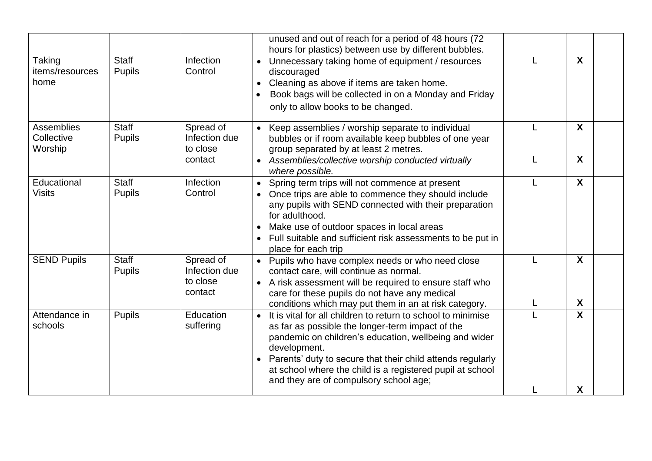|                                     |                               |                                                   | unused and out of reach for a period of 48 hours (72<br>hours for plastics) between use by different bubbles.                                                                                                                                                                                                                                                               |                       |
|-------------------------------------|-------------------------------|---------------------------------------------------|-----------------------------------------------------------------------------------------------------------------------------------------------------------------------------------------------------------------------------------------------------------------------------------------------------------------------------------------------------------------------------|-----------------------|
| Taking<br>items/resources<br>home   | <b>Staff</b><br><b>Pupils</b> | Infection<br>Control                              | Unnecessary taking home of equipment / resources<br>discouraged<br>Cleaning as above if items are taken home.<br>Book bags will be collected in on a Monday and Friday<br>only to allow books to be changed.                                                                                                                                                                | X                     |
| Assemblies<br>Collective<br>Worship | <b>Staff</b><br><b>Pupils</b> | Spread of<br>Infection due<br>to close<br>contact | • Keep assemblies / worship separate to individual<br>bubbles or if room available keep bubbles of one year<br>group separated by at least 2 metres.<br>• Assemblies/collective worship conducted virtually<br>where possible.                                                                                                                                              | X<br>X                |
| Educational<br><b>Visits</b>        | <b>Staff</b><br><b>Pupils</b> | Infection<br>Control                              | Spring term trips will not commence at present<br>$\bullet$<br>Once trips are able to commence they should include<br>any pupils with SEND connected with their preparation<br>for adulthood.<br>Make use of outdoor spaces in local areas<br>Full suitable and sufficient risk assessments to be put in<br>place for each trip                                             | $\boldsymbol{X}$      |
| <b>SEND Pupils</b>                  | <b>Staff</b><br><b>Pupils</b> | Spread of<br>Infection due<br>to close<br>contact | • Pupils who have complex needs or who need close<br>contact care, will continue as normal.<br>• A risk assessment will be required to ensure staff who<br>care for these pupils do not have any medical<br>conditions which may put them in an at risk category.                                                                                                           | $\boldsymbol{X}$<br>X |
| Attendance in<br>schools            | <b>Pupils</b>                 | Education<br>suffering                            | It is vital for all children to return to school to minimise<br>$\bullet$<br>as far as possible the longer-term impact of the<br>pandemic on children's education, wellbeing and wider<br>development.<br>Parents' duty to secure that their child attends regularly<br>at school where the child is a registered pupil at school<br>and they are of compulsory school age; | $\mathbf{x}$<br>X     |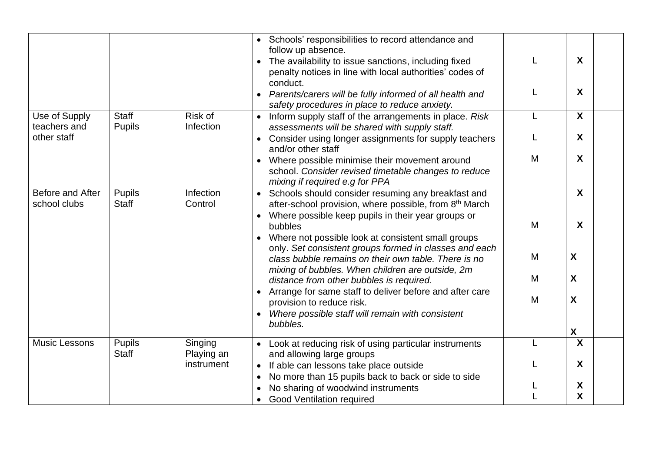|                                  |                               |                       | • Schools' responsibilities to record attendance and<br>follow up absence.<br>The availability to issue sanctions, including fixed                                   |   | X                  |  |
|----------------------------------|-------------------------------|-----------------------|----------------------------------------------------------------------------------------------------------------------------------------------------------------------|---|--------------------|--|
|                                  |                               |                       | penalty notices in line with local authorities' codes of<br>conduct.                                                                                                 |   |                    |  |
|                                  |                               |                       | Parents/carers will be fully informed of all health and<br>safety procedures in place to reduce anxiety.                                                             |   | X                  |  |
| Use of Supply<br>teachers and    | <b>Staff</b><br><b>Pupils</b> | Risk of<br>Infection  | Inform supply staff of the arrangements in place. Risk<br>$\bullet$<br>assessments will be shared with supply staff.                                                 | L | $\mathsf{X}$       |  |
| other staff                      |                               |                       | Consider using longer assignments for supply teachers<br>$\bullet$<br>and/or other staff                                                                             |   | X                  |  |
|                                  |                               |                       | Where possible minimise their movement around<br>school. Consider revised timetable changes to reduce<br>mixing if required e.g for PPA                              | M | X                  |  |
| Before and After<br>school clubs | <b>Pupils</b><br><b>Staff</b> | Infection<br>Control  | Schools should consider resuming any breakfast and<br>$\bullet$<br>after-school provision, where possible, from 8 <sup>th</sup> March                                |   | X                  |  |
|                                  |                               |                       | Where possible keep pupils in their year groups or<br>bubbles                                                                                                        | M | X                  |  |
|                                  |                               |                       | Where not possible look at consistent small groups<br>only. Set consistent groups formed in classes and each<br>class bubble remains on their own table. There is no | M | X                  |  |
|                                  |                               |                       | mixing of bubbles. When children are outside, 2m<br>distance from other bubbles is required.                                                                         | M | X                  |  |
|                                  |                               |                       | Arrange for same staff to deliver before and after care<br>provision to reduce risk.<br>Where possible staff will remain with consistent                             | M | X                  |  |
|                                  |                               |                       | bubbles.                                                                                                                                                             |   | $\pmb{\mathsf{X}}$ |  |
| <b>Music Lessons</b>             | <b>Pupils</b><br><b>Staff</b> | Singing<br>Playing an | Look at reducing risk of using particular instruments<br>and allowing large groups                                                                                   | L | $\mathsf{X}$       |  |
|                                  |                               | instrument            | If able can lessons take place outside<br>$\bullet$<br>No more than 15 pupils back to back or side to side                                                           |   | X                  |  |
|                                  |                               |                       | $\bullet$<br>No sharing of woodwind instruments                                                                                                                      |   | X.                 |  |
|                                  |                               |                       | <b>Good Ventilation required</b>                                                                                                                                     |   | <b>X</b>           |  |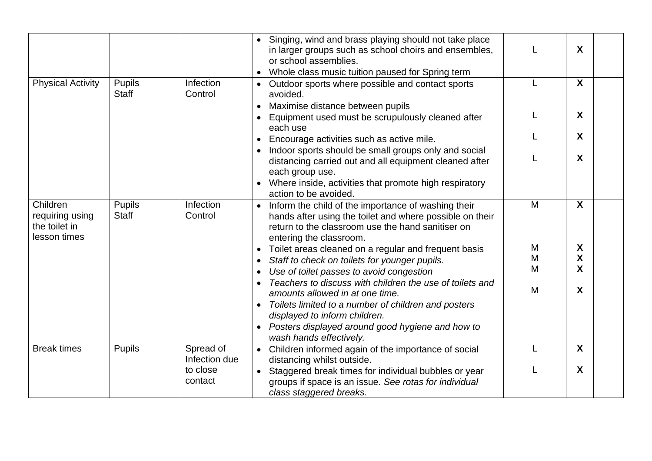|                                                              |                               |                            | Singing, wind and brass playing should not take place<br>in larger groups such as school choirs and ensembles,<br>or school assemblies.<br>Whole class music tuition paused for Spring term                  |   | X            |
|--------------------------------------------------------------|-------------------------------|----------------------------|--------------------------------------------------------------------------------------------------------------------------------------------------------------------------------------------------------------|---|--------------|
| <b>Physical Activity</b>                                     | <b>Pupils</b><br><b>Staff</b> | Infection<br>Control       | Outdoor sports where possible and contact sports<br>avoided.                                                                                                                                                 |   | X            |
|                                                              |                               |                            | Maximise distance between pupils                                                                                                                                                                             |   |              |
|                                                              |                               |                            | Equipment used must be scrupulously cleaned after<br>each use                                                                                                                                                |   | X            |
|                                                              |                               |                            | Encourage activities such as active mile.                                                                                                                                                                    |   | X            |
|                                                              |                               |                            | Indoor sports should be small groups only and social<br>distancing carried out and all equipment cleaned after<br>each group use.                                                                            |   | X            |
|                                                              |                               |                            | Where inside, activities that promote high respiratory<br>action to be avoided.                                                                                                                              |   |              |
| Children<br>requiring using<br>the toilet in<br>lesson times | Pupils<br><b>Staff</b>        | Infection<br>Control       | Inform the child of the importance of washing their<br>$\bullet$<br>hands after using the toilet and where possible on their<br>return to the classroom use the hand sanitiser on<br>entering the classroom. | M | X            |
|                                                              |                               |                            | Toilet areas cleaned on a regular and frequent basis                                                                                                                                                         | M | X            |
|                                                              |                               |                            | Staff to check on toilets for younger pupils.<br>$\bullet$                                                                                                                                                   | M | X            |
|                                                              |                               |                            | Use of toilet passes to avoid congestion<br>$\bullet$                                                                                                                                                        | M | X            |
|                                                              |                               |                            | Teachers to discuss with children the use of toilets and<br>amounts allowed in at one time.                                                                                                                  | M | X            |
|                                                              |                               |                            | Toilets limited to a number of children and posters                                                                                                                                                          |   |              |
|                                                              |                               |                            | displayed to inform children.                                                                                                                                                                                |   |              |
|                                                              |                               |                            | Posters displayed around good hygiene and how to<br>$\bullet$<br>wash hands effectively.                                                                                                                     |   |              |
| <b>Break times</b>                                           | Pupils                        | Spread of<br>Infection due | • Children informed again of the importance of social<br>distancing whilst outside.                                                                                                                          |   | $\mathsf{X}$ |
|                                                              |                               | to close                   | Staggered break times for individual bubbles or year                                                                                                                                                         |   | X            |
|                                                              |                               | contact                    | groups if space is an issue. See rotas for individual                                                                                                                                                        |   |              |
|                                                              |                               |                            | class staggered breaks.                                                                                                                                                                                      |   |              |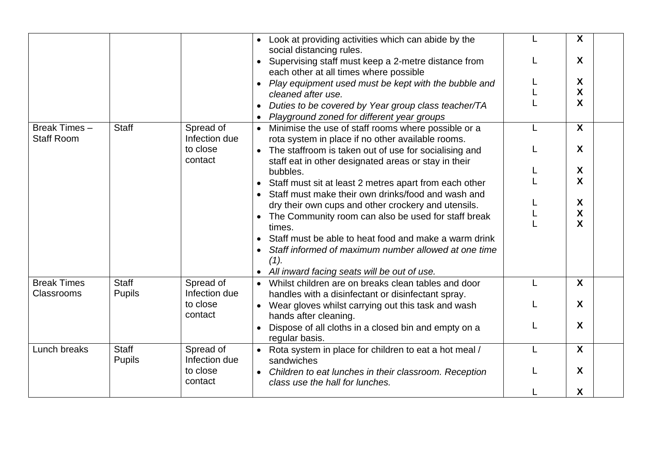|                                         |                               |                            | • Look at providing activities which can abide by the<br>social distancing rules.                               | X            |
|-----------------------------------------|-------------------------------|----------------------------|-----------------------------------------------------------------------------------------------------------------|--------------|
|                                         |                               |                            | Supervising staff must keep a 2-metre distance from<br>each other at all times where possible                   | X            |
|                                         |                               |                            | Play equipment used must be kept with the bubble and                                                            | X            |
|                                         |                               |                            | cleaned after use.                                                                                              | X            |
|                                         |                               |                            | Duties to be covered by Year group class teacher/TA                                                             | X            |
|                                         |                               |                            | Playground zoned for different year groups                                                                      |              |
| Break Times-<br><b>Staff Room</b>       | <b>Staff</b>                  | Spread of<br>Infection due | • Minimise the use of staff rooms where possible or a<br>rota system in place if no other available rooms.      | $\mathsf{X}$ |
|                                         |                               | to close<br>contact        | • The staffroom is taken out of use for socialising and<br>staff eat in other designated areas or stay in their | X            |
|                                         |                               |                            | bubbles.                                                                                                        | X            |
|                                         |                               |                            | Staff must sit at least 2 metres apart from each other                                                          | X            |
|                                         |                               |                            | Staff must make their own drinks/food and wash and                                                              |              |
|                                         |                               |                            | dry their own cups and other crockery and utensils.                                                             | X            |
|                                         |                               |                            | The Community room can also be used for staff break                                                             | X            |
|                                         |                               |                            | times.                                                                                                          | X            |
|                                         |                               |                            | Staff must be able to heat food and make a warm drink                                                           |              |
|                                         |                               |                            | Staff informed of maximum number allowed at one time                                                            |              |
|                                         |                               |                            | (1).                                                                                                            |              |
|                                         |                               |                            | • All inward facing seats will be out of use.                                                                   |              |
| <b>Break Times</b><br><b>Classrooms</b> | <b>Staff</b><br><b>Pupils</b> | Spread of<br>Infection due | • Whilst children are on breaks clean tables and door<br>handles with a disinfectant or disinfectant spray.     | X            |
|                                         |                               | to close<br>contact        | • Wear gloves whilst carrying out this task and wash<br>hands after cleaning.                                   | X            |
|                                         |                               |                            | Dispose of all cloths in a closed bin and empty on a<br>regular basis.                                          | X            |
| Lunch breaks                            | Staff                         | Spread of                  | • Rota system in place for children to eat a hot meal /                                                         | $\mathsf{X}$ |
|                                         | <b>Pupils</b>                 | Infection due              | sandwiches                                                                                                      |              |
|                                         |                               | to close<br>contact        | • Children to eat lunches in their classroom. Reception<br>class use the hall for lunches.                      | X            |
|                                         |                               |                            |                                                                                                                 | X            |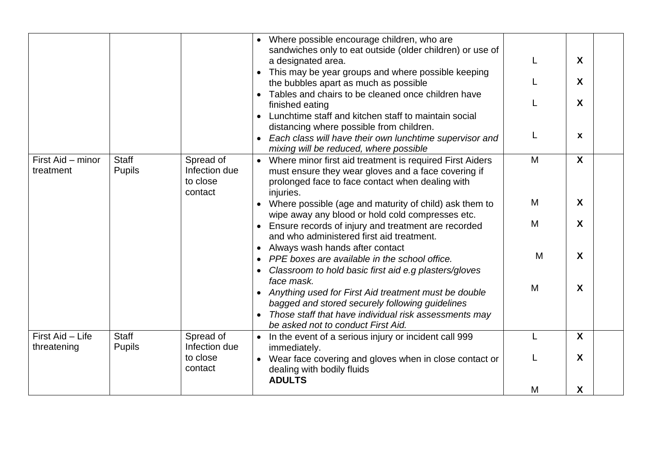|                                 |                               |                                                   | • Where possible encourage children, who are<br>sandwiches only to eat outside (older children) or use of<br>a designated area.<br>This may be year groups and where possible keeping<br>the bubbles apart as much as possible<br>Tables and chairs to be cleaned once children have<br>finished eating<br>Lunchtime staff and kitchen staff to maintain social<br>distancing where possible from children.<br>Each class will have their own lunchtime supervisor and<br>mixing will be reduced, where possible |        | X<br>X<br>X<br>X |
|---------------------------------|-------------------------------|---------------------------------------------------|------------------------------------------------------------------------------------------------------------------------------------------------------------------------------------------------------------------------------------------------------------------------------------------------------------------------------------------------------------------------------------------------------------------------------------------------------------------------------------------------------------------|--------|------------------|
| First Aid - minor<br>treatment  | <b>Staff</b><br><b>Pupils</b> | Spread of<br>Infection due<br>to close<br>contact | • Where minor first aid treatment is required First Aiders<br>must ensure they wear gloves and a face covering if<br>prolonged face to face contact when dealing with<br>injuries.<br>• Where possible (age and maturity of child) ask them to                                                                                                                                                                                                                                                                   | M<br>M | X<br>X           |
|                                 |                               |                                                   | wipe away any blood or hold cold compresses etc.<br>Ensure records of injury and treatment are recorded<br>and who administered first aid treatment.<br>Always wash hands after contact<br>$\bullet$                                                                                                                                                                                                                                                                                                             | M      | X                |
|                                 |                               |                                                   | PPE boxes are available in the school office.<br>Classroom to hold basic first aid e.g plasters/gloves<br>face mask.                                                                                                                                                                                                                                                                                                                                                                                             | M      | X                |
|                                 |                               |                                                   | Anything used for First Aid treatment must be double<br>bagged and stored securely following guidelines<br>Those staff that have individual risk assessments may<br>be asked not to conduct First Aid.                                                                                                                                                                                                                                                                                                           | M      | X                |
| First Aid - Life<br>threatening | <b>Staff</b><br><b>Pupils</b> | Spread of<br>Infection due                        | • In the event of a serious injury or incident call 999<br>immediately.                                                                                                                                                                                                                                                                                                                                                                                                                                          |        | $\mathbf{X}$     |
|                                 |                               | to close<br>contact                               | Wear face covering and gloves when in close contact or<br>dealing with bodily fluids<br><b>ADULTS</b>                                                                                                                                                                                                                                                                                                                                                                                                            |        | X                |
|                                 |                               |                                                   |                                                                                                                                                                                                                                                                                                                                                                                                                                                                                                                  | M      | X                |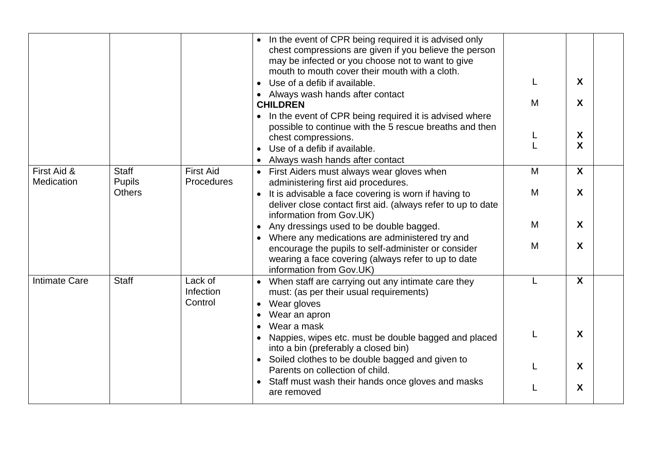|                           |                                                |                                 | In the event of CPR being required it is advised only<br>chest compressions are given if you believe the person<br>may be infected or you choose not to want to give<br>mouth to mouth cover their mouth with a cloth.<br>Use of a defib if available.<br>• Always wash hands after contact<br><b>CHILDREN</b><br>In the event of CPR being required it is advised where<br>possible to continue with the 5 rescue breaths and then<br>chest compressions.<br>Use of a defib if available.<br>Always wash hands after contact | M                | X<br>X<br>X<br>X |
|---------------------------|------------------------------------------------|---------------------------------|-------------------------------------------------------------------------------------------------------------------------------------------------------------------------------------------------------------------------------------------------------------------------------------------------------------------------------------------------------------------------------------------------------------------------------------------------------------------------------------------------------------------------------|------------------|------------------|
| First Aid &<br>Medication | <b>Staff</b><br><b>Pupils</b><br><b>Others</b> | <b>First Aid</b><br>Procedures  | • First Aiders must always wear gloves when<br>administering first aid procedures.<br>It is advisable a face covering is worn if having to<br>$\bullet$<br>deliver close contact first aid. (always refer to up to date<br>information from Gov.UK)<br>Any dressings used to be double bagged.<br>Where any medications are administered try and<br>encourage the pupils to self-administer or consider                                                                                                                       | M<br>M<br>M<br>M | X<br>X<br>X<br>X |
| <b>Intimate Care</b>      | <b>Staff</b>                                   | Lack of<br>Infection<br>Control | wearing a face covering (always refer to up to date<br>information from Gov.UK)<br>• When staff are carrying out any intimate care they<br>must: (as per their usual requirements)<br>Wear gloves<br>$\bullet$<br>Wear an apron<br>Wear a mask<br>Nappies, wipes etc. must be double bagged and placed<br>into a bin (preferably a closed bin)                                                                                                                                                                                |                  | X<br>X           |
|                           |                                                |                                 | • Soiled clothes to be double bagged and given to<br>Parents on collection of child.<br>Staff must wash their hands once gloves and masks<br>are removed                                                                                                                                                                                                                                                                                                                                                                      |                  | X<br>X           |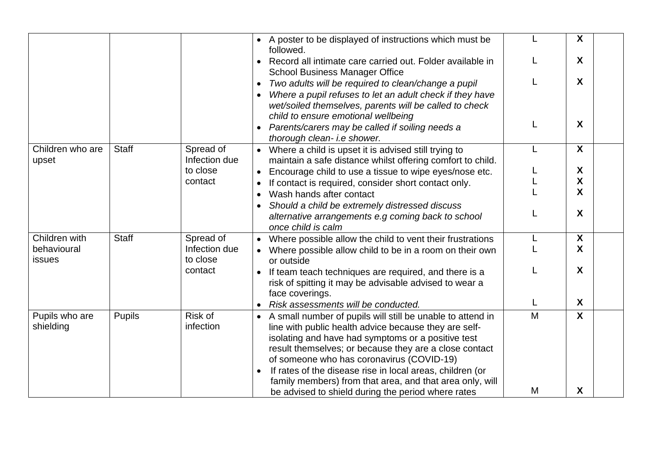|                              |               |                            | • A poster to be displayed of instructions which must be<br>followed.                                                                                                                                                                                                                                                                                                                                                  |   | X                         |
|------------------------------|---------------|----------------------------|------------------------------------------------------------------------------------------------------------------------------------------------------------------------------------------------------------------------------------------------------------------------------------------------------------------------------------------------------------------------------------------------------------------------|---|---------------------------|
|                              |               |                            | Record all intimate care carried out. Folder available in<br><b>School Business Manager Office</b>                                                                                                                                                                                                                                                                                                                     |   | X                         |
|                              |               |                            | Two adults will be required to clean/change a pupil<br>$\bullet$                                                                                                                                                                                                                                                                                                                                                       |   | X                         |
|                              |               |                            | Where a pupil refuses to let an adult check if they have<br>wet/soiled themselves, parents will be called to check<br>child to ensure emotional wellbeing                                                                                                                                                                                                                                                              |   |                           |
|                              |               |                            | Parents/carers may be called if soiling needs a<br>$\bullet$                                                                                                                                                                                                                                                                                                                                                           | L | X                         |
|                              |               |                            | thorough clean- i.e shower.                                                                                                                                                                                                                                                                                                                                                                                            |   |                           |
| Children who are<br>upset    | <b>Staff</b>  | Spread of<br>Infection due | • Where a child is upset it is advised still trying to<br>maintain a safe distance whilst offering comfort to child.                                                                                                                                                                                                                                                                                                   | L | X                         |
|                              |               | to close                   | Encourage child to use a tissue to wipe eyes/nose etc.<br>$\bullet$                                                                                                                                                                                                                                                                                                                                                    |   | X                         |
|                              |               | contact                    | If contact is required, consider short contact only.                                                                                                                                                                                                                                                                                                                                                                   |   | X                         |
|                              |               |                            | Wash hands after contact                                                                                                                                                                                                                                                                                                                                                                                               |   | X                         |
|                              |               |                            | Should a child be extremely distressed discuss<br>alternative arrangements e.g coming back to school<br>once child is calm                                                                                                                                                                                                                                                                                             |   | X                         |
| Children with                | <b>Staff</b>  | Spread of                  | Where possible allow the child to vent their frustrations<br>$\bullet$                                                                                                                                                                                                                                                                                                                                                 |   | $\boldsymbol{\mathsf{X}}$ |
| behavioural<br><b>issues</b> |               | Infection due<br>to close  | • Where possible allow child to be in a room on their own<br>or outside                                                                                                                                                                                                                                                                                                                                                |   | X                         |
|                              |               | contact                    | If team teach techniques are required, and there is a<br>risk of spitting it may be advisable advised to wear a<br>face coverings.                                                                                                                                                                                                                                                                                     |   | X                         |
|                              |               |                            | Risk assessments will be conducted.                                                                                                                                                                                                                                                                                                                                                                                    |   | X                         |
| Pupils who are<br>shielding  | <b>Pupils</b> | Risk of<br>infection       | A small number of pupils will still be unable to attend in<br>$\bullet$<br>line with public health advice because they are self-<br>isolating and have had symptoms or a positive test<br>result themselves; or because they are a close contact<br>of someone who has coronavirus (COVID-19)<br>If rates of the disease rise in local areas, children (or<br>family members) from that area, and that area only, will | M | $\boldsymbol{\mathsf{X}}$ |
|                              |               |                            | be advised to shield during the period where rates                                                                                                                                                                                                                                                                                                                                                                     | M | X                         |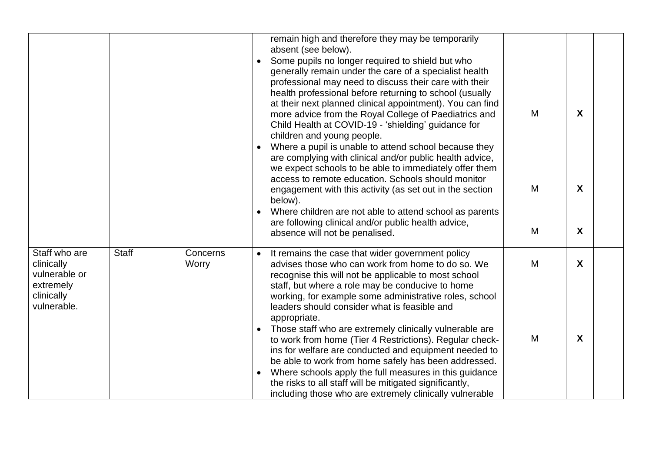| generally remain under the care of a specialist health<br>professional may need to discuss their care with their<br>health professional before returning to school (usually<br>at their next planned clinical appointment). You can find<br>more advice from the Royal College of Paediatrics and                                                                                                                      |                   |                                   |
|------------------------------------------------------------------------------------------------------------------------------------------------------------------------------------------------------------------------------------------------------------------------------------------------------------------------------------------------------------------------------------------------------------------------|-------------------|-----------------------------------|
| Where a pupil is unable to attend school because they<br>are complying with clinical and/or public health advice,<br>we expect schools to be able to immediately offer them<br>M<br>engagement with this activity (as set out in the section<br>Where children are not able to attend school as parents                                                                                                                | $\mathbf{X}$      |                                   |
|                                                                                                                                                                                                                                                                                                                                                                                                                        |                   |                                   |
| M<br>advises those who can work from home to do so. We<br>working, for example some administrative roles, school<br>Those staff who are extremely clinically vulnerable are<br>M<br>to work from home (Tier 4 Restrictions). Regular check-<br>ins for welfare are conducted and equipment needed to<br>be able to work from home safely has been addressed.<br>Where schools apply the full measures in this guidance | $\mathsf{X}$<br>X |                                   |
| including those who are extremely clinically vulnerable                                                                                                                                                                                                                                                                                                                                                                | M                 | $\mathbf{X}$<br>M<br>$\mathsf{X}$ |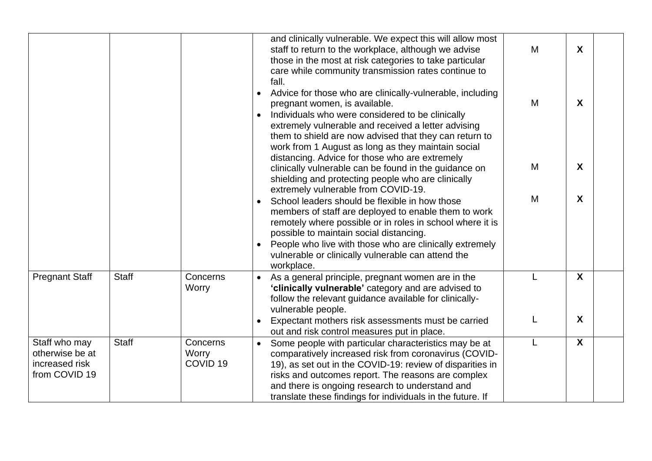|                                                                     |              |                                          | and clinically vulnerable. We expect this will allow most<br>staff to return to the workplace, although we advise<br>those in the most at risk categories to take particular<br>care while community transmission rates continue to<br>fall.                                                                                                       | M | $\boldsymbol{X}$ |  |
|---------------------------------------------------------------------|--------------|------------------------------------------|----------------------------------------------------------------------------------------------------------------------------------------------------------------------------------------------------------------------------------------------------------------------------------------------------------------------------------------------------|---|------------------|--|
|                                                                     |              |                                          | Advice for those who are clinically-vulnerable, including<br>pregnant women, is available.<br>Individuals who were considered to be clinically<br>extremely vulnerable and received a letter advising<br>them to shield are now advised that they can return to<br>work from 1 August as long as they maintain social                              | M | $\boldsymbol{X}$ |  |
|                                                                     |              |                                          | distancing. Advice for those who are extremely<br>clinically vulnerable can be found in the guidance on<br>shielding and protecting people who are clinically<br>extremely vulnerable from COVID-19.                                                                                                                                               | M | $\boldsymbol{X}$ |  |
|                                                                     |              |                                          | School leaders should be flexible in how those<br>members of staff are deployed to enable them to work<br>remotely where possible or in roles in school where it is<br>possible to maintain social distancing.<br>People who live with those who are clinically extremely<br>vulnerable or clinically vulnerable can attend the<br>workplace.      | M | $\boldsymbol{X}$ |  |
| <b>Pregnant Staff</b>                                               | <b>Staff</b> | Concerns<br>Worry                        | As a general principle, pregnant women are in the<br>'clinically vulnerable' category and are advised to<br>follow the relevant guidance available for clinically-<br>vulnerable people.                                                                                                                                                           | L | $\boldsymbol{X}$ |  |
|                                                                     |              |                                          | Expectant mothers risk assessments must be carried<br>out and risk control measures put in place.                                                                                                                                                                                                                                                  |   | $\boldsymbol{X}$ |  |
| Staff who may<br>otherwise be at<br>increased risk<br>from COVID 19 | <b>Staff</b> | Concerns<br>Worry<br>COVID <sub>19</sub> | Some people with particular characteristics may be at<br>comparatively increased risk from coronavirus (COVID-<br>19), as set out in the COVID-19: review of disparities in<br>risks and outcomes report. The reasons are complex<br>and there is ongoing research to understand and<br>translate these findings for individuals in the future. If |   | $\boldsymbol{X}$ |  |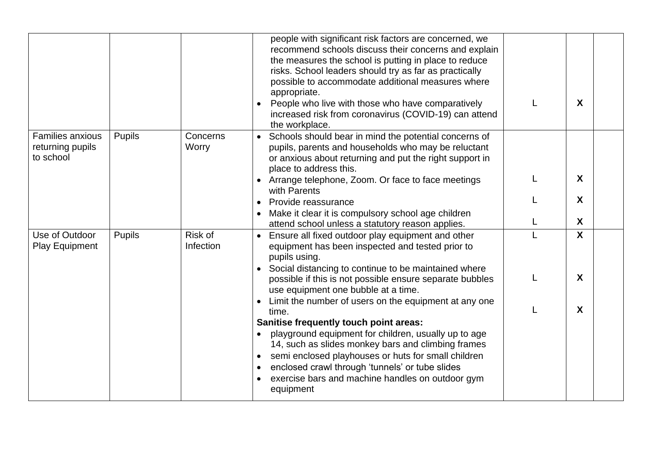|                                                          |               |                      | people with significant risk factors are concerned, we<br>recommend schools discuss their concerns and explain<br>the measures the school is putting in place to reduce<br>risks. School leaders should try as far as practically<br>possible to accommodate additional measures where<br>appropriate.<br>People who live with those who have comparatively<br>increased risk from coronavirus (COVID-19) can attend<br>the workplace. |              | X                |  |
|----------------------------------------------------------|---------------|----------------------|----------------------------------------------------------------------------------------------------------------------------------------------------------------------------------------------------------------------------------------------------------------------------------------------------------------------------------------------------------------------------------------------------------------------------------------|--------------|------------------|--|
| <b>Families anxious</b><br>returning pupils<br>to school | <b>Pupils</b> | Concerns<br>Worry    | Schools should bear in mind the potential concerns of<br>$\bullet$<br>pupils, parents and households who may be reluctant<br>or anxious about returning and put the right support in<br>place to address this.                                                                                                                                                                                                                         |              |                  |  |
|                                                          |               |                      | • Arrange telephone, Zoom. Or face to face meetings<br>with Parents                                                                                                                                                                                                                                                                                                                                                                    |              | X                |  |
|                                                          |               |                      | Provide reassurance                                                                                                                                                                                                                                                                                                                                                                                                                    |              | X                |  |
|                                                          |               |                      | Make it clear it is compulsory school age children<br>attend school unless a statutory reason applies.                                                                                                                                                                                                                                                                                                                                 | L            | X                |  |
| Use of Outdoor<br><b>Play Equipment</b>                  | Pupils        | Risk of<br>Infection | • Ensure all fixed outdoor play equipment and other<br>equipment has been inspected and tested prior to<br>pupils using.<br>Social distancing to continue to be maintained where                                                                                                                                                                                                                                                       |              | $\boldsymbol{X}$ |  |
|                                                          |               |                      | possible if this is not possible ensure separate bubbles<br>use equipment one bubble at a time.                                                                                                                                                                                                                                                                                                                                        | L            | X                |  |
|                                                          |               |                      | Limit the number of users on the equipment at any one<br>time.<br>Sanitise frequently touch point areas:<br>playground equipment for children, usually up to age<br>14, such as slides monkey bars and climbing frames<br>semi enclosed playhouses or huts for small children<br>enclosed crawl through 'tunnels' or tube slides<br>exercise bars and machine handles on outdoor gym<br>equipment                                      | $\mathbf{I}$ | $\boldsymbol{X}$ |  |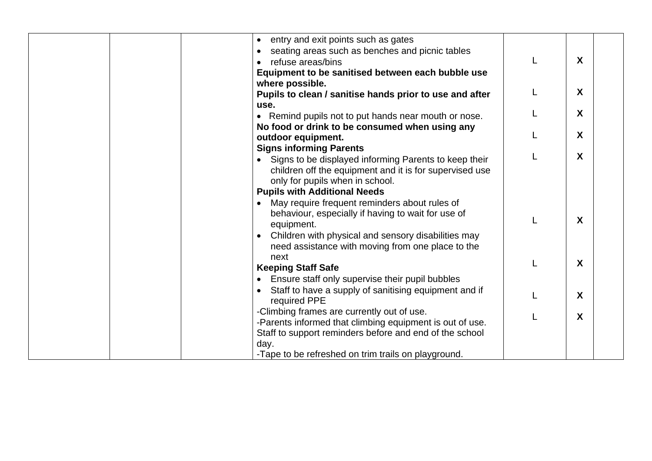|  | entry and exit points such as gates<br>$\bullet$                   |   |
|--|--------------------------------------------------------------------|---|
|  | seating areas such as benches and picnic tables<br>$\bullet$       |   |
|  | refuse areas/bins                                                  | X |
|  | Equipment to be sanitised between each bubble use                  |   |
|  | where possible.                                                    |   |
|  | Pupils to clean / sanitise hands prior to use and after            | X |
|  | use.                                                               |   |
|  | • Remind pupils not to put hands near mouth or nose.               | X |
|  | No food or drink to be consumed when using any                     |   |
|  | outdoor equipment.                                                 | X |
|  | <b>Signs informing Parents</b>                                     |   |
|  | Signs to be displayed informing Parents to keep their              | X |
|  | children off the equipment and it is for supervised use            |   |
|  | only for pupils when in school.                                    |   |
|  | <b>Pupils with Additional Needs</b>                                |   |
|  | May require frequent reminders about rules of                      |   |
|  | behaviour, especially if having to wait for use of                 | X |
|  | equipment.                                                         |   |
|  | Children with physical and sensory disabilities may                |   |
|  | need assistance with moving from one place to the                  |   |
|  | next                                                               | X |
|  | <b>Keeping Staff Safe</b>                                          |   |
|  | Ensure staff only supervise their pupil bubbles                    |   |
|  | Staff to have a supply of sanitising equipment and if<br>$\bullet$ | X |
|  | required PPE                                                       |   |
|  | -Climbing frames are currently out of use.                         | X |
|  | -Parents informed that climbing equipment is out of use.           |   |
|  | Staff to support reminders before and end of the school            |   |
|  | day.                                                               |   |
|  | -Tape to be refreshed on trim trails on playground.                |   |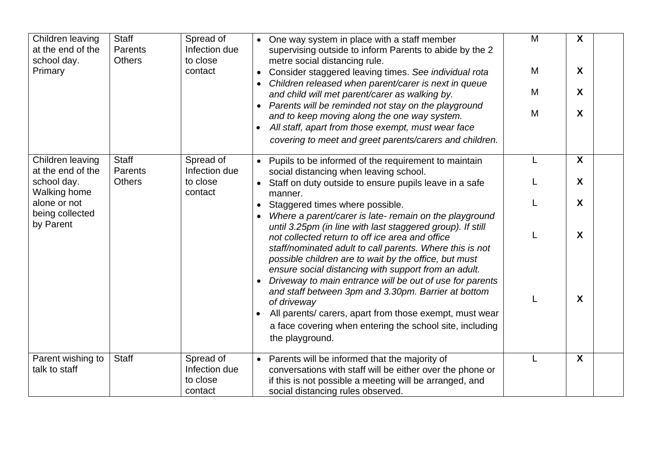| Children leaving<br>at the end of the<br>school day.<br>Primary | <b>Staff</b><br>Parents<br><b>Others</b> | Spread of<br>Infection due<br>to close<br>contact | • One way system in place with a staff member<br>supervising outside to inform Parents to abide by the 2<br>metre social distancing rule.<br>Consider staggered leaving times. See individual rota<br>$\bullet$                                                                                                                  | M<br>M | X<br>X           |
|-----------------------------------------------------------------|------------------------------------------|---------------------------------------------------|----------------------------------------------------------------------------------------------------------------------------------------------------------------------------------------------------------------------------------------------------------------------------------------------------------------------------------|--------|------------------|
|                                                                 |                                          |                                                   | Children released when parent/carer is next in queue<br>and child will met parent/carer as walking by.<br>Parents will be reminded not stay on the playground                                                                                                                                                                    | M<br>M | X<br>X           |
|                                                                 |                                          |                                                   | and to keep moving along the one way system.<br>All staff, apart from those exempt, must wear face<br>covering to meet and greet parents/carers and children.                                                                                                                                                                    |        |                  |
| Children leaving<br>at the end of the                           | <b>Staff</b><br>Parents                  | Spread of<br>Infection due                        | Pupils to be informed of the requirement to maintain<br>social distancing when leaving school.                                                                                                                                                                                                                                   | L      | X                |
| school day.<br><b>Walking home</b>                              | <b>Others</b>                            | to close<br>contact                               | Staff on duty outside to ensure pupils leave in a safe<br>manner.                                                                                                                                                                                                                                                                |        | X                |
| alone or not<br>being collected                                 |                                          |                                                   | Staggered times where possible.<br>$\bullet$<br>Where a parent/carer is late- remain on the playground                                                                                                                                                                                                                           |        | X                |
| by Parent                                                       |                                          |                                                   | until 3.25pm (in line with last staggered group). If still<br>not collected return to off ice area and office<br>staff/nominated adult to call parents. Where this is not<br>possible children are to wait by the office, but must                                                                                               | L      | X                |
|                                                                 |                                          |                                                   | ensure social distancing with support from an adult.<br>Driveway to main entrance will be out of use for parents<br>and staff between 3pm and 3.30pm. Barrier at bottom<br>of driveway<br>All parents/ carers, apart from those exempt, must wear<br>a face covering when entering the school site, including<br>the playground. | L      | X                |
| Parent wishing to<br>talk to staff                              | <b>Staff</b>                             | Spread of<br>Infection due<br>to close<br>contact | Parents will be informed that the majority of<br>$\bullet$<br>conversations with staff will be either over the phone or<br>if this is not possible a meeting will be arranged, and<br>social distancing rules observed.                                                                                                          |        | $\boldsymbol{X}$ |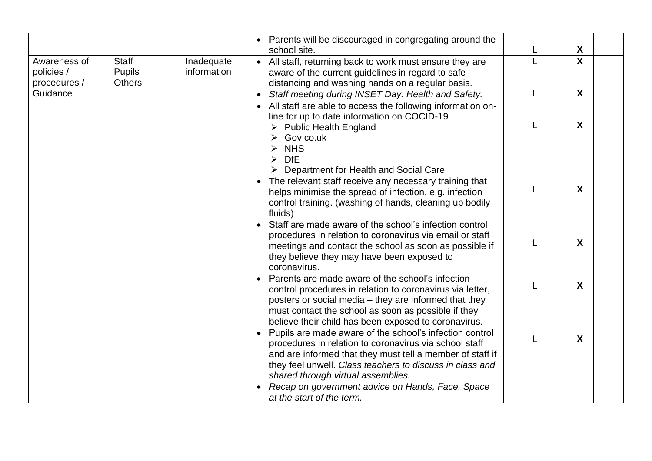|                                            |                                                |                           | Parents will be discouraged in congregating around the<br>school site.                                                                                                                                                                                                                | X            |  |
|--------------------------------------------|------------------------------------------------|---------------------------|---------------------------------------------------------------------------------------------------------------------------------------------------------------------------------------------------------------------------------------------------------------------------------------|--------------|--|
| Awareness of<br>policies /<br>procedures / | <b>Staff</b><br><b>Pupils</b><br><b>Others</b> | Inadequate<br>information | • All staff, returning back to work must ensure they are<br>aware of the current guidelines in regard to safe<br>distancing and washing hands on a regular basis.                                                                                                                     | $\mathbf{x}$ |  |
| Guidance                                   |                                                |                           | Staff meeting during INSET Day: Health and Safety.<br>All staff are able to access the following information on-<br>line for up to date information on COCID-19                                                                                                                       | X            |  |
|                                            |                                                |                           | <b>Public Health England</b><br>Gov.co.uk<br><b>NHS</b><br><b>DfE</b><br>Department for Health and Social Care                                                                                                                                                                        | X            |  |
|                                            |                                                |                           | The relevant staff receive any necessary training that<br>helps minimise the spread of infection, e.g. infection<br>control training. (washing of hands, cleaning up bodily<br>fluids)                                                                                                | X            |  |
|                                            |                                                |                           | Staff are made aware of the school's infection control<br>procedures in relation to coronavirus via email or staff<br>meetings and contact the school as soon as possible if<br>they believe they may have been exposed to<br>coronavirus.                                            | X            |  |
|                                            |                                                |                           | Parents are made aware of the school's infection<br>control procedures in relation to coronavirus via letter,<br>posters or social media – they are informed that they<br>must contact the school as soon as possible if they<br>believe their child has been exposed to coronavirus. | X            |  |
|                                            |                                                |                           | Pupils are made aware of the school's infection control<br>procedures in relation to coronavirus via school staff<br>and are informed that they must tell a member of staff if<br>they feel unwell. Class teachers to discuss in class and<br>shared through virtual assemblies.      | X            |  |
|                                            |                                                |                           | Recap on government advice on Hands, Face, Space<br>at the start of the term.                                                                                                                                                                                                         |              |  |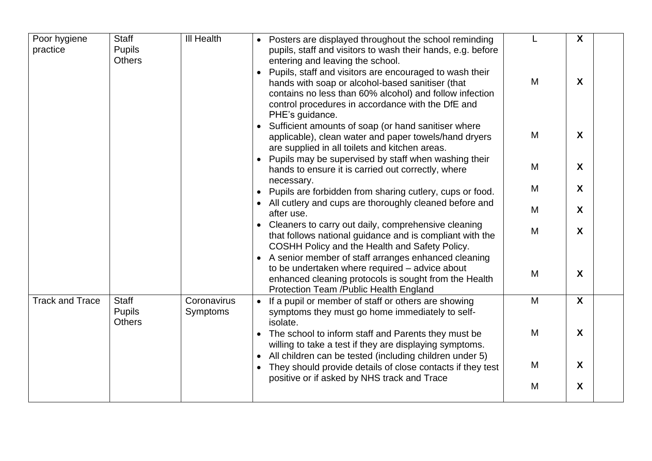| Poor hygiene           | <b>Staff</b>                                   | <b>III Health</b>              | • Posters are displayed throughout the school reminding                                                                                                                                                                                                                                                                                           | L | X                |
|------------------------|------------------------------------------------|--------------------------------|---------------------------------------------------------------------------------------------------------------------------------------------------------------------------------------------------------------------------------------------------------------------------------------------------------------------------------------------------|---|------------------|
| practice               | Pupils<br><b>Others</b>                        |                                | pupils, staff and visitors to wash their hands, e.g. before<br>entering and leaving the school.<br>Pupils, staff and visitors are encouraged to wash their<br>hands with soap or alcohol-based sanitiser (that<br>contains no less than 60% alcohol) and follow infection<br>control procedures in accordance with the DfE and<br>PHE's guidance. | M | $\boldsymbol{X}$ |
|                        |                                                |                                | Sufficient amounts of soap (or hand sanitiser where<br>applicable), clean water and paper towels/hand dryers<br>are supplied in all toilets and kitchen areas.                                                                                                                                                                                    | M | X                |
|                        |                                                |                                | Pupils may be supervised by staff when washing their<br>hands to ensure it is carried out correctly, where<br>necessary.                                                                                                                                                                                                                          | M | X                |
|                        |                                                |                                | Pupils are forbidden from sharing cutlery, cups or food.                                                                                                                                                                                                                                                                                          | M | X                |
|                        |                                                |                                | • All cutlery and cups are thoroughly cleaned before and<br>after use.                                                                                                                                                                                                                                                                            | M | X                |
|                        |                                                |                                | Cleaners to carry out daily, comprehensive cleaning<br>that follows national guidance and is compliant with the<br>COSHH Policy and the Health and Safety Policy.                                                                                                                                                                                 | M | X                |
|                        |                                                |                                | • A senior member of staff arranges enhanced cleaning<br>to be undertaken where required - advice about<br>enhanced cleaning protocols is sought from the Health<br>Protection Team /Public Health England                                                                                                                                        | M | X                |
| <b>Track and Trace</b> | <b>Staff</b><br><b>Pupils</b><br><b>Others</b> | Coronavirus<br><b>Symptoms</b> | • If a pupil or member of staff or others are showing<br>symptoms they must go home immediately to self-<br>isolate.                                                                                                                                                                                                                              | M | $\boldsymbol{X}$ |
|                        |                                                |                                | The school to inform staff and Parents they must be<br>willing to take a test if they are displaying symptoms.                                                                                                                                                                                                                                    | M | X                |
|                        |                                                |                                | • All children can be tested (including children under 5)<br>They should provide details of close contacts if they test                                                                                                                                                                                                                           | M | $\boldsymbol{X}$ |
|                        |                                                |                                | positive or if asked by NHS track and Trace                                                                                                                                                                                                                                                                                                       | M | X                |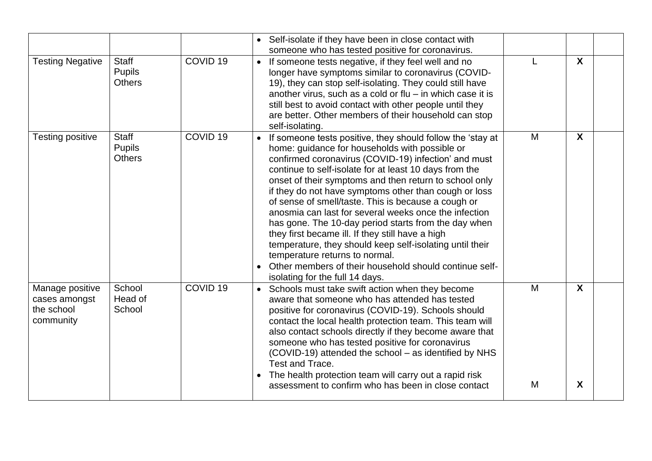|                                                             |                                                |                     | • Self-isolate if they have been in close contact with<br>someone who has tested positive for coronavirus.                                                                                                                                                                                                                                                                                                                                                                                                                                                                                                                                                                                                                                                                                 |                           |
|-------------------------------------------------------------|------------------------------------------------|---------------------|--------------------------------------------------------------------------------------------------------------------------------------------------------------------------------------------------------------------------------------------------------------------------------------------------------------------------------------------------------------------------------------------------------------------------------------------------------------------------------------------------------------------------------------------------------------------------------------------------------------------------------------------------------------------------------------------------------------------------------------------------------------------------------------------|---------------------------|
| <b>Testing Negative</b>                                     | <b>Staff</b><br><b>Pupils</b><br><b>Others</b> | COVID <sub>19</sub> | • If someone tests negative, if they feel well and no<br>longer have symptoms similar to coronavirus (COVID-<br>19), they can stop self-isolating. They could still have<br>another virus, such as a cold or flu $-$ in which case it is<br>still best to avoid contact with other people until they<br>are better. Other members of their household can stop<br>self-isolating.                                                                                                                                                                                                                                                                                                                                                                                                           | $\boldsymbol{\mathsf{X}}$ |
| <b>Testing positive</b>                                     | <b>Staff</b><br><b>Pupils</b><br><b>Others</b> | COVID <sub>19</sub> | M<br>If someone tests positive, they should follow the 'stay at<br>$\bullet$<br>home: guidance for households with possible or<br>confirmed coronavirus (COVID-19) infection' and must<br>continue to self-isolate for at least 10 days from the<br>onset of their symptoms and then return to school only<br>if they do not have symptoms other than cough or loss<br>of sense of smell/taste. This is because a cough or<br>anosmia can last for several weeks once the infection<br>has gone. The 10-day period starts from the day when<br>they first became ill. If they still have a high<br>temperature, they should keep self-isolating until their<br>temperature returns to normal.<br>Other members of their household should continue self-<br>isolating for the full 14 days. | X                         |
| Manage positive<br>cases amongst<br>the school<br>community | School<br>Head of<br>School                    | COVID <sub>19</sub> | M<br>Schools must take swift action when they become<br>aware that someone who has attended has tested<br>positive for coronavirus (COVID-19). Schools should<br>contact the local health protection team. This team will<br>also contact schools directly if they become aware that<br>someone who has tested positive for coronavirus<br>(COVID-19) attended the school - as identified by NHS<br>Test and Trace.<br>The health protection team will carry out a rapid risk<br>M<br>assessment to confirm who has been in close contact                                                                                                                                                                                                                                                  | X<br>X                    |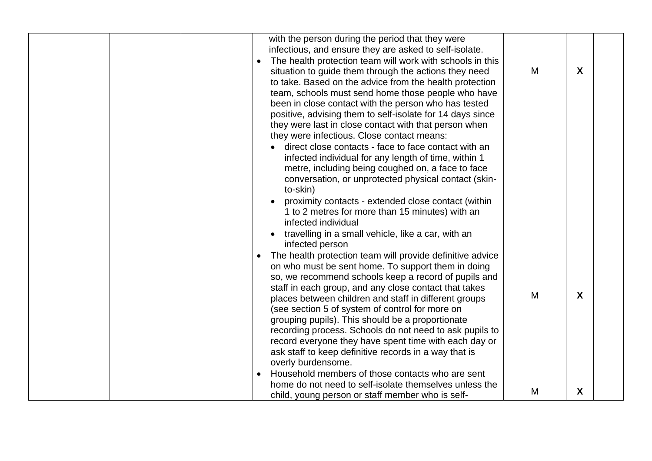|  | with the person during the period that they were<br>infectious, and ensure they are asked to self-isolate.<br>The health protection team will work with schools in this<br>situation to guide them through the actions they need<br>to take. Based on the advice from the health protection<br>team, schools must send home those people who have<br>been in close contact with the person who has tested<br>positive, advising them to self-isolate for 14 days since<br>they were last in close contact with that person when<br>they were infectious. Close contact means:<br>direct close contacts - face to face contact with an<br>infected individual for any length of time, within 1<br>metre, including being coughed on, a face to face<br>conversation, or unprotected physical contact (skin-<br>to-skin)<br>proximity contacts - extended close contact (within<br>1 to 2 metres for more than 15 minutes) with an<br>infected individual | M      | X      |
|--|---------------------------------------------------------------------------------------------------------------------------------------------------------------------------------------------------------------------------------------------------------------------------------------------------------------------------------------------------------------------------------------------------------------------------------------------------------------------------------------------------------------------------------------------------------------------------------------------------------------------------------------------------------------------------------------------------------------------------------------------------------------------------------------------------------------------------------------------------------------------------------------------------------------------------------------------------------|--------|--------|
|  | travelling in a small vehicle, like a car, with an<br>infected person<br>The health protection team will provide definitive advice<br>on who must be sent home. To support them in doing<br>so, we recommend schools keep a record of pupils and<br>staff in each group, and any close contact that takes<br>places between children and staff in different groups<br>(see section 5 of system of control for more on<br>grouping pupils). This should be a proportionate<br>recording process. Schools do not need to ask pupils to<br>record everyone they have spent time with each day or<br>ask staff to keep definitive records in a way that is<br>overly burdensome.<br>Household members of those contacts who are sent<br>home do not need to self-isolate themselves unless the<br>child, young person or staff member who is self-                                                                                                          | M<br>M | X<br>X |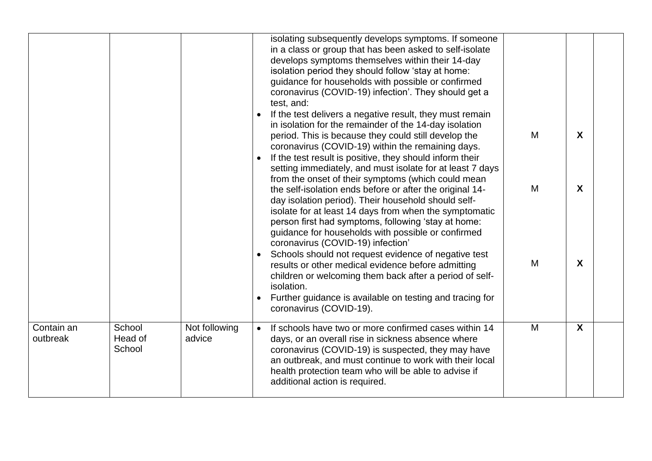|                        |                             |                         | isolating subsequently develops symptoms. If someone<br>in a class or group that has been asked to self-isolate<br>develops symptoms themselves within their 14-day<br>isolation period they should follow 'stay at home:<br>guidance for households with possible or confirmed<br>coronavirus (COVID-19) infection'. They should get a<br>test, and:<br>If the test delivers a negative result, they must remain<br>in isolation for the remainder of the 14-day isolation<br>M<br>period. This is because they could still develop the<br>coronavirus (COVID-19) within the remaining days.<br>If the test result is positive, they should inform their<br>setting immediately, and must isolate for at least 7 days<br>from the onset of their symptoms (which could mean<br>M<br>the self-isolation ends before or after the original 14-<br>day isolation period). Their household should self-<br>isolate for at least 14 days from when the symptomatic<br>person first had symptoms, following 'stay at home:<br>guidance for households with possible or confirmed<br>coronavirus (COVID-19) infection'<br>Schools should not request evidence of negative test<br>M<br>results or other medical evidence before admitting<br>children or welcoming them back after a period of self-<br>isolation.<br>Further guidance is available on testing and tracing for<br>coronavirus (COVID-19). | $\mathbf{x}$<br>$\boldsymbol{X}$<br>$\mathsf{X}$ |  |
|------------------------|-----------------------------|-------------------------|-----------------------------------------------------------------------------------------------------------------------------------------------------------------------------------------------------------------------------------------------------------------------------------------------------------------------------------------------------------------------------------------------------------------------------------------------------------------------------------------------------------------------------------------------------------------------------------------------------------------------------------------------------------------------------------------------------------------------------------------------------------------------------------------------------------------------------------------------------------------------------------------------------------------------------------------------------------------------------------------------------------------------------------------------------------------------------------------------------------------------------------------------------------------------------------------------------------------------------------------------------------------------------------------------------------------------------------------------------------------------------------------------------|--------------------------------------------------|--|
| Contain an<br>outbreak | School<br>Head of<br>School | Not following<br>advice | M<br>If schools have two or more confirmed cases within 14<br>$\bullet$<br>days, or an overall rise in sickness absence where<br>coronavirus (COVID-19) is suspected, they may have<br>an outbreak, and must continue to work with their local<br>health protection team who will be able to advise if<br>additional action is required.                                                                                                                                                                                                                                                                                                                                                                                                                                                                                                                                                                                                                                                                                                                                                                                                                                                                                                                                                                                                                                                            | $\mathbf{X}$                                     |  |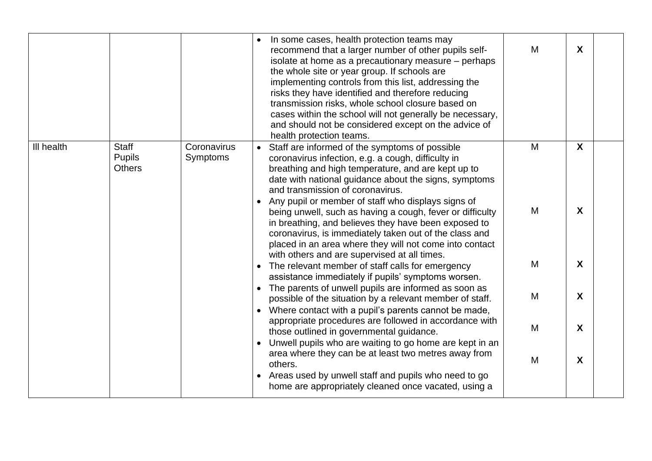|            |                                                |                         |           | In some cases, health protection teams may<br>recommend that a larger number of other pupils self-<br>isolate at home as a precautionary measure – perhaps<br>the whole site or year group. If schools are<br>implementing controls from this list, addressing the<br>risks they have identified and therefore reducing<br>transmission risks, whole school closure based on<br>cases within the school will not generally be necessary,<br>and should not be considered except on the advice of<br>health protection teams. | M | X |  |
|------------|------------------------------------------------|-------------------------|-----------|------------------------------------------------------------------------------------------------------------------------------------------------------------------------------------------------------------------------------------------------------------------------------------------------------------------------------------------------------------------------------------------------------------------------------------------------------------------------------------------------------------------------------|---|---|--|
| III health | <b>Staff</b><br><b>Pupils</b><br><b>Others</b> | Coronavirus<br>Symptoms |           | Staff are informed of the symptoms of possible<br>coronavirus infection, e.g. a cough, difficulty in<br>breathing and high temperature, and are kept up to<br>date with national guidance about the signs, symptoms<br>and transmission of coronavirus.                                                                                                                                                                                                                                                                      | M | X |  |
|            |                                                |                         |           | Any pupil or member of staff who displays signs of<br>being unwell, such as having a cough, fever or difficulty<br>in breathing, and believes they have been exposed to<br>coronavirus, is immediately taken out of the class and<br>placed in an area where they will not come into contact                                                                                                                                                                                                                                 | M | X |  |
|            |                                                |                         | $\bullet$ | with others and are supervised at all times.<br>The relevant member of staff calls for emergency<br>assistance immediately if pupils' symptoms worsen.                                                                                                                                                                                                                                                                                                                                                                       | M | X |  |
|            |                                                |                         | $\bullet$ | The parents of unwell pupils are informed as soon as<br>possible of the situation by a relevant member of staff.<br>• Where contact with a pupil's parents cannot be made,<br>appropriate procedures are followed in accordance with                                                                                                                                                                                                                                                                                         | M | X |  |
|            |                                                |                         |           | those outlined in governmental guidance.<br>Unwell pupils who are waiting to go home are kept in an                                                                                                                                                                                                                                                                                                                                                                                                                          | M | X |  |
|            |                                                |                         |           | area where they can be at least two metres away from<br>others.<br>Areas used by unwell staff and pupils who need to go<br>home are appropriately cleaned once vacated, using a                                                                                                                                                                                                                                                                                                                                              | M | X |  |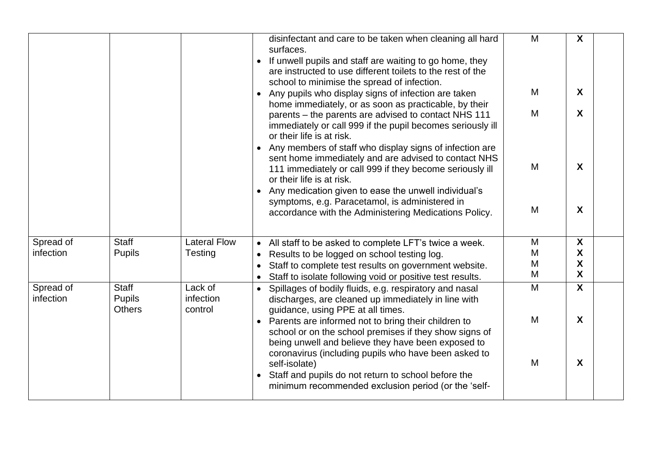|                        |                                                |                                       | M<br>disinfectant and care to be taken when cleaning all hard<br>surfaces.<br>If unwell pupils and staff are waiting to go home, they<br>are instructed to use different toilets to the rest of the<br>school to minimise the spread of infection.                                         | X                                        |
|------------------------|------------------------------------------------|---------------------------------------|--------------------------------------------------------------------------------------------------------------------------------------------------------------------------------------------------------------------------------------------------------------------------------------------|------------------------------------------|
|                        |                                                |                                       | M<br>• Any pupils who display signs of infection are taken<br>home immediately, or as soon as practicable, by their<br>M<br>parents – the parents are advised to contact NHS 111<br>immediately or call 999 if the pupil becomes seriously ill<br>or their life is at risk.                | X<br>X                                   |
|                        |                                                |                                       | Any members of staff who display signs of infection are<br>sent home immediately and are advised to contact NHS<br>M<br>111 immediately or call 999 if they become seriously ill<br>or their life is at risk.<br>• Any medication given to ease the unwell individual's                    | X                                        |
|                        |                                                |                                       | symptoms, e.g. Paracetamol, is administered in<br>M<br>accordance with the Administering Medications Policy.                                                                                                                                                                               | X                                        |
| Spread of<br>infection | <b>Staff</b><br><b>Pupils</b>                  | <b>Lateral Flow</b><br><b>Testing</b> | M<br>• All staff to be asked to complete LFT's twice a week.<br>M<br>Results to be logged on school testing log.<br>$\bullet$<br>M<br>Staff to complete test results on government website.<br>M<br>Staff to isolate following void or positive test results.                              | $\boldsymbol{\mathsf{X}}$<br>X<br>X<br>X |
| Spread of<br>infection | <b>Staff</b><br><b>Pupils</b><br><b>Others</b> | Lack of<br>infection<br>control       | M<br>Spillages of bodily fluids, e.g. respiratory and nasal<br>$\bullet$<br>discharges, are cleaned up immediately in line with<br>guidance, using PPE at all times.<br>M<br>Parents are informed not to bring their children to<br>school or on the school premises if they show signs of | X<br>X                                   |
|                        |                                                |                                       | being unwell and believe they have been exposed to<br>coronavirus (including pupils who have been asked to<br>M<br>self-isolate)<br>• Staff and pupils do not return to school before the<br>minimum recommended exclusion period (or the 'self-                                           | X                                        |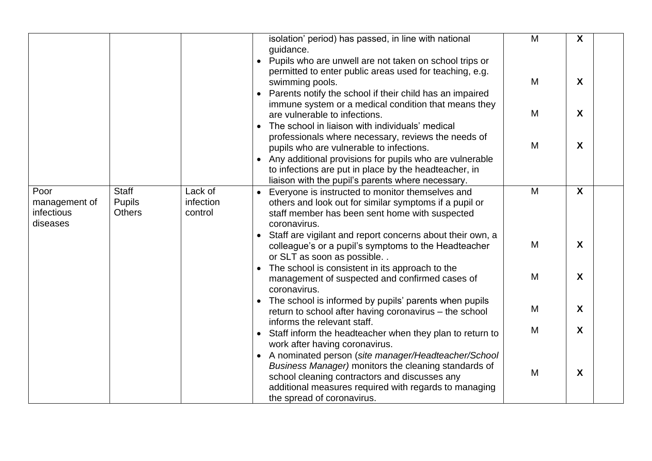|                                                 |                                                |                                 | isolation' period) has passed, in line with national<br>guidance.                                                                                                                                                                                                        | M | $\boldsymbol{X}$ |  |
|-------------------------------------------------|------------------------------------------------|---------------------------------|--------------------------------------------------------------------------------------------------------------------------------------------------------------------------------------------------------------------------------------------------------------------------|---|------------------|--|
|                                                 |                                                |                                 | Pupils who are unwell are not taken on school trips or<br>permitted to enter public areas used for teaching, e.g.<br>swimming pools.<br>Parents notify the school if their child has an impaired                                                                         | M | $\boldsymbol{X}$ |  |
|                                                 |                                                |                                 | immune system or a medical condition that means they<br>are vulnerable to infections.<br>The school in liaison with individuals' medical                                                                                                                                 | M | $\boldsymbol{X}$ |  |
|                                                 |                                                |                                 | professionals where necessary, reviews the needs of<br>pupils who are vulnerable to infections.<br>Any additional provisions for pupils who are vulnerable<br>to infections are put in place by the headteacher, in<br>liaison with the pupil's parents where necessary. | M | X                |  |
| Poor<br>management of<br>infectious<br>diseases | <b>Staff</b><br><b>Pupils</b><br><b>Others</b> | Lack of<br>infection<br>control | Everyone is instructed to monitor themselves and<br>others and look out for similar symptoms if a pupil or<br>staff member has been sent home with suspected<br>coronavirus.                                                                                             | M | $\boldsymbol{X}$ |  |
|                                                 |                                                |                                 | Staff are vigilant and report concerns about their own, a<br>colleague's or a pupil's symptoms to the Headteacher<br>or SLT as soon as possible                                                                                                                          | M | X                |  |
|                                                 |                                                |                                 | The school is consistent in its approach to the<br>management of suspected and confirmed cases of<br>coronavirus.                                                                                                                                                        | M | $\boldsymbol{X}$ |  |
|                                                 |                                                |                                 | The school is informed by pupils' parents when pupils<br>return to school after having coronavirus - the school<br>informs the relevant staff.                                                                                                                           | M | X                |  |
|                                                 |                                                |                                 | • Staff inform the headteacher when they plan to return to<br>work after having coronavirus.                                                                                                                                                                             | M | X                |  |
|                                                 |                                                |                                 | A nominated person (site manager/Headteacher/School<br>Business Manager) monitors the cleaning standards of<br>school cleaning contractors and discusses any<br>additional measures required with regards to managing<br>the spread of coronavirus.                      | M | X                |  |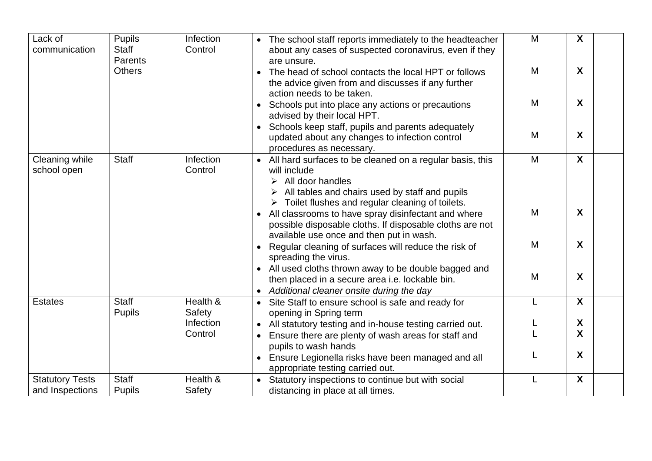| Lack of<br>communication                  | <b>Pupils</b><br><b>Staff</b> | Infection<br>Control | • The school staff reports immediately to the headteacher<br>about any cases of suspected coronavirus, even if they                                                                                                                 | M | $\boldsymbol{X}$ |
|-------------------------------------------|-------------------------------|----------------------|-------------------------------------------------------------------------------------------------------------------------------------------------------------------------------------------------------------------------------------|---|------------------|
|                                           | Parents<br><b>Others</b>      |                      | are unsure.<br>The head of school contacts the local HPT or follows<br>the advice given from and discusses if any further                                                                                                           | M | X                |
|                                           |                               |                      | action needs to be taken.<br>Schools put into place any actions or precautions<br>advised by their local HPT.                                                                                                                       | M | X                |
|                                           |                               |                      | Schools keep staff, pupils and parents adequately<br>updated about any changes to infection control<br>procedures as necessary.                                                                                                     | M | X                |
| Cleaning while<br>school open             | <b>Staff</b>                  | Infection<br>Control | All hard surfaces to be cleaned on a regular basis, this<br>will include<br>$\triangleright$ All door handles<br>All tables and chairs used by staff and pupils<br>$\triangleright$ Toilet flushes and regular cleaning of toilets. | M | $\boldsymbol{X}$ |
|                                           |                               |                      | All classrooms to have spray disinfectant and where<br>possible disposable cloths. If disposable cloths are not<br>available use once and then put in wash.                                                                         | M | X                |
|                                           |                               |                      | Regular cleaning of surfaces will reduce the risk of<br>spreading the virus.                                                                                                                                                        | M | X                |
|                                           |                               |                      | All used cloths thrown away to be double bagged and<br>then placed in a secure area i.e. lockable bin.<br>Additional cleaner onsite during the day<br>$\bullet$                                                                     | M | X                |
| <b>Estates</b>                            | <b>Staff</b><br><b>Pupils</b> | Health &<br>Safety   | Site Staff to ensure school is safe and ready for<br>opening in Spring term                                                                                                                                                         | L | $\boldsymbol{X}$ |
|                                           |                               | Infection            | All statutory testing and in-house testing carried out.                                                                                                                                                                             |   | X                |
|                                           |                               | Control              | Ensure there are plenty of wash areas for staff and                                                                                                                                                                                 |   | X                |
|                                           |                               |                      | pupils to wash hands<br>Ensure Legionella risks have been managed and all<br>appropriate testing carried out.                                                                                                                       |   | X                |
| <b>Statutory Tests</b><br>and Inspections | <b>Staff</b><br><b>Pupils</b> | Health &<br>Safety   | • Statutory inspections to continue but with social<br>distancing in place at all times.                                                                                                                                            | L | X                |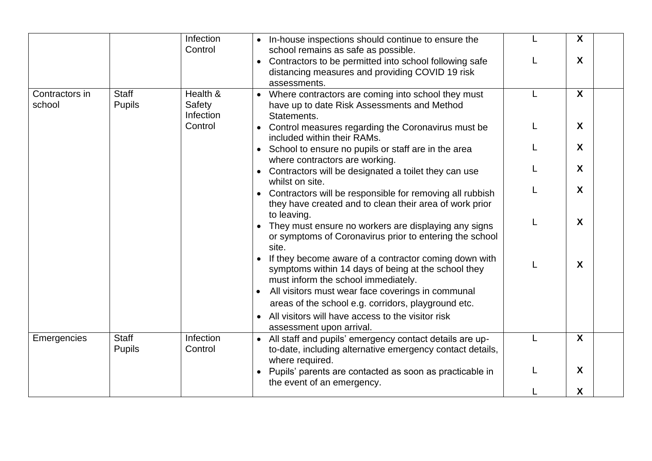|                          |                               | Infection                                  | • In-house inspections should continue to ensure the                                                                                                                          | $\mathsf{X}$ |
|--------------------------|-------------------------------|--------------------------------------------|-------------------------------------------------------------------------------------------------------------------------------------------------------------------------------|--------------|
|                          |                               | Control                                    | school remains as safe as possible.<br>Contractors to be permitted into school following safe<br>$\bullet$<br>distancing measures and providing COVID 19 risk<br>assessments. | $\mathsf{X}$ |
| Contractors in<br>school | <b>Staff</b><br><b>Pupils</b> | Health &<br>Safety<br>Infection<br>Control | Where contractors are coming into school they must<br>$\bullet$<br>have up to date Risk Assessments and Method<br>Statements.                                                 | $\mathsf{X}$ |
|                          |                               |                                            | Control measures regarding the Coronavirus must be<br>$\bullet$<br>included within their RAMs.                                                                                | $\mathsf{X}$ |
|                          |                               |                                            | School to ensure no pupils or staff are in the area<br>where contractors are working.                                                                                         | X            |
|                          |                               |                                            | Contractors will be designated a toilet they can use<br>whilst on site.                                                                                                       | X            |
|                          |                               |                                            | Contractors will be responsible for removing all rubbish<br>they have created and to clean their area of work prior                                                           | $\mathsf{X}$ |
|                          |                               |                                            | to leaving.<br>They must ensure no workers are displaying any signs<br>or symptoms of Coronavirus prior to entering the school<br>site.                                       | X            |
|                          |                               |                                            | If they become aware of a contractor coming down with<br>symptoms within 14 days of being at the school they<br>must inform the school immediately.                           | X            |
|                          |                               |                                            | All visitors must wear face coverings in communal<br>areas of the school e.g. corridors, playground etc.                                                                      |              |
|                          |                               |                                            | All visitors will have access to the visitor risk<br>assessment upon arrival.                                                                                                 |              |
| Emergencies              | <b>Staff</b><br><b>Pupils</b> | Infection<br>Control                       | • All staff and pupils' emergency contact details are up-<br>to-date, including alternative emergency contact details,<br>where required.                                     | X            |
|                          |                               |                                            | Pupils' parents are contacted as soon as practicable in<br>$\bullet$<br>the event of an emergency.                                                                            | $\mathbf{X}$ |
|                          |                               |                                            |                                                                                                                                                                               | $\mathsf{X}$ |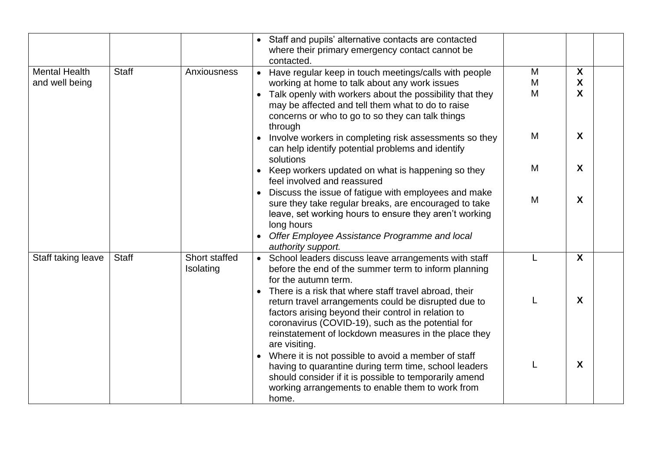|                                        |              |                            | Staff and pupils' alternative contacts are contacted<br>where their primary emergency contact cannot be<br>contacted.                                                                                                                                                                              |             |                                     |
|----------------------------------------|--------------|----------------------------|----------------------------------------------------------------------------------------------------------------------------------------------------------------------------------------------------------------------------------------------------------------------------------------------------|-------------|-------------------------------------|
| <b>Mental Health</b><br>and well being | <b>Staff</b> | Anxiousness                | • Have regular keep in touch meetings/calls with people<br>working at home to talk about any work issues<br>• Talk openly with workers about the possibility that they<br>may be affected and tell them what to do to raise<br>concerns or who to go to so they can talk things                    | M<br>M<br>M | X<br>X<br>$\boldsymbol{\mathsf{X}}$ |
|                                        |              |                            | through<br>Involve workers in completing risk assessments so they<br>can help identify potential problems and identify<br>solutions                                                                                                                                                                | M           | X                                   |
|                                        |              |                            | • Keep workers updated on what is happening so they<br>feel involved and reassured                                                                                                                                                                                                                 | M           | X                                   |
|                                        |              |                            | Discuss the issue of fatigue with employees and make<br>sure they take regular breaks, are encouraged to take<br>leave, set working hours to ensure they aren't working<br>long hours<br>Offer Employee Assistance Programme and local<br>authority support.                                       | M           | X                                   |
| Staff taking leave                     | <b>Staff</b> | Short staffed<br>Isolating | • School leaders discuss leave arrangements with staff<br>before the end of the summer term to inform planning<br>for the autumn term.                                                                                                                                                             | L           | $\boldsymbol{X}$                    |
|                                        |              |                            | There is a risk that where staff travel abroad, their<br>return travel arrangements could be disrupted due to<br>factors arising beyond their control in relation to<br>coronavirus (COVID-19), such as the potential for<br>reinstatement of lockdown measures in the place they<br>are visiting. |             | X                                   |
|                                        |              |                            | Where it is not possible to avoid a member of staff<br>$\bullet$<br>having to quarantine during term time, school leaders<br>should consider if it is possible to temporarily amend<br>working arrangements to enable them to work from<br>home.                                                   | L           | X                                   |